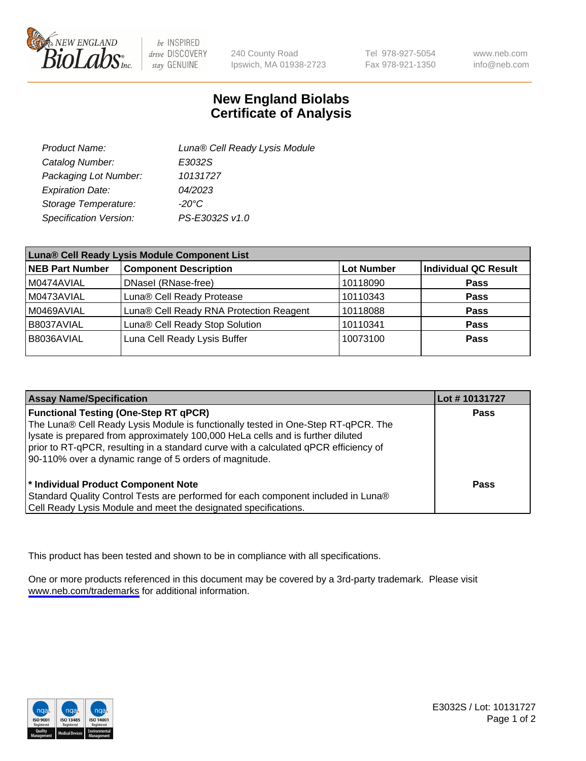

be INSPIRED drive DISCOVERY stay GENUINE

240 County Road Ipswich, MA 01938-2723 Tel 978-927-5054 Fax 978-921-1350

www.neb.com info@neb.com

## **New England Biolabs Certificate of Analysis**

| Product Name:           | Luna® Cell Ready Lysis Module |
|-------------------------|-------------------------------|
| Catalog Number:         | E3032S                        |
| Packaging Lot Number:   | 10131727                      |
| <b>Expiration Date:</b> | 04/2023                       |
| Storage Temperature:    | $-20^{\circ}$ C               |
| Specification Version:  | PS-E3032S v1.0                |

| Luna® Cell Ready Lysis Module Component List |                                         |                   |                             |  |
|----------------------------------------------|-----------------------------------------|-------------------|-----------------------------|--|
| <b>NEB Part Number</b>                       | <b>Component Description</b>            | <b>Lot Number</b> | <b>Individual QC Result</b> |  |
| M0474AVIAL                                   | DNasel (RNase-free)                     | 10118090          | <b>Pass</b>                 |  |
| M0473AVIAL                                   | Luna® Cell Ready Protease               | 10110343          | <b>Pass</b>                 |  |
| M0469AVIAL                                   | Luna® Cell Ready RNA Protection Reagent | 10118088          | <b>Pass</b>                 |  |
| B8037AVIAL                                   | Luna® Cell Ready Stop Solution          | 10110341          | <b>Pass</b>                 |  |
| B8036AVIAL                                   | Luna Cell Ready Lysis Buffer            | 10073100          | Pass                        |  |
|                                              |                                         |                   |                             |  |

| <b>Assay Name/Specification</b>                                                                                                                                                                                                                                                                                                                                        | Lot #10131727 |
|------------------------------------------------------------------------------------------------------------------------------------------------------------------------------------------------------------------------------------------------------------------------------------------------------------------------------------------------------------------------|---------------|
| <b>Functional Testing (One-Step RT qPCR)</b><br>The Luna® Cell Ready Lysis Module is functionally tested in One-Step RT-qPCR. The<br>lysate is prepared from approximately 100,000 HeLa cells and is further diluted<br>prior to RT-qPCR, resulting in a standard curve with a calculated qPCR efficiency of<br>90-110% over a dynamic range of 5 orders of magnitude. | <b>Pass</b>   |
| * Individual Product Component Note<br>Standard Quality Control Tests are performed for each component included in Luna®<br>Cell Ready Lysis Module and meet the designated specifications.                                                                                                                                                                            | Pass          |

This product has been tested and shown to be in compliance with all specifications.

One or more products referenced in this document may be covered by a 3rd-party trademark. Please visit <www.neb.com/trademarks>for additional information.